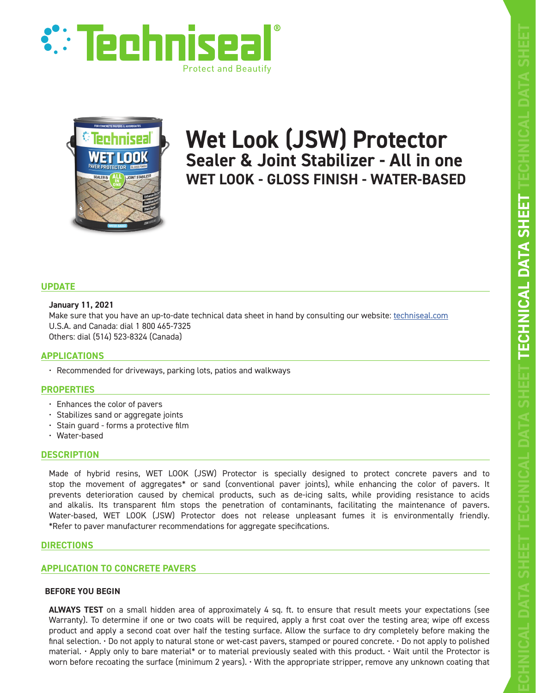



# **Wet Look (JSW) Protector Sealer & Joint Stabilizer - All in one WET LOOK - GLOSS FINISH - WATER-BASED**

# **UPDATE**

## **January 11, 2021**

Make sure that you have an up-to-date technical data sheet in hand by consulting our website: techniseal.com U.S.A. and Canada: dial 1 800 465-7325 Others: dial (514) 523-8324 (Canada)

# **APPLICATIONS**

• Recommended for driveways, parking lots, patios and walkways

# **PROPERTIES**

- Enhances the color of pavers
- Stabilizes sand or aggregate joints
- Stain guard forms a protective film
- Water-based

# **DESCRIPTION**

Made of hybrid resins, WET LOOK (JSW) Protector is specially designed to protect concrete pavers and to stop the movement of aggregates\* or sand (conventional paver joints), while enhancing the color of pavers. It prevents deterioration caused by chemical products, such as de-icing salts, while providing resistance to acids and alkalis. Its transparent film stops the penetration of contaminants, facilitating the maintenance of pavers. Water-based, WET LOOK (JSW) Protector does not release unpleasant fumes it is environmentally friendly. \*Refer to paver manufacturer recommendations for aggregate specifications.

# **DIRECTIONS**

# **APPLICATION TO CONCRETE PAVERS**

## **BEFORE YOU BEGIN**

**ALWAYS TEST** on a small hidden area of approximately 4 sq. ft. to ensure that result meets your expectations (see Warranty). To determine if one or two coats will be required, apply a first coat over the testing area; wipe off excess product and apply a second coat over half the testing surface. Allow the surface to dry completely before making the final selection. • Do not apply to natural stone or wet-cast pavers, stamped or poured concrete. • Do not apply to polished material. • Apply only to bare material\* or to material previously sealed with this product. • Wait until the Protector is worn before recoating the surface (minimum 2 years). • With the appropriate stripper, remove any unknown coating that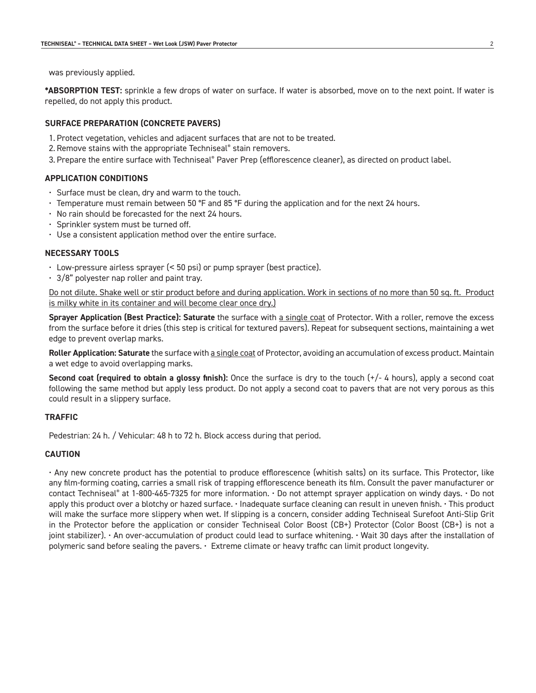was previously applied.

**\*ABSORPTION TEST:** sprinkle a few drops of water on surface. If water is absorbed, move on to the next point. If water is repelled, do not apply this product.

### **SURFACE PREPARATION (CONCRETE PAVERS)**

- 1. Protect vegetation, vehicles and adjacent surfaces that are not to be treated.
- 2. Remove stains with the appropriate Techniseal® stain removers.
- 3. Prepare the entire surface with Techniseal® Paver Prep (efflorescence cleaner), as directed on product label.

## **APPLICATION CONDITIONS**

- Surface must be clean, dry and warm to the touch.
- Temperature must remain between 50 °F and 85 °F during the application and for the next 24 hours.
- No rain should be forecasted for the next 24 hours.
- Sprinkler system must be turned off.
- Use a consistent application method over the entire surface.

### **NECESSARY TOOLS**

- Low-pressure airless sprayer (< 50 psi) or pump sprayer (best practice).
- 3/8" polyester nap roller and paint tray.

Do not dilute. Shake well or stir product before and during application. Work in sections of no more than 50 sq. ft. Product is milky white in its container and will become clear once dry.)

**Sprayer Application (Best Practice): Saturate** the surface with a single coat of Protector. With a roller, remove the excess from the surface before it dries (this step is critical for textured pavers). Repeat for subsequent sections, maintaining a wet edge to prevent overlap marks.

**Roller Application: Saturate** the surface with a single coat of Protector, avoiding an accumulation of excess product. Maintain a wet edge to avoid overlapping marks.

**Second coat (required to obtain a glossy finish):** Once the surface is dry to the touch (+/- 4 hours), apply a second coat following the same method but apply less product. Do not apply a second coat to pavers that are not very porous as this could result in a slippery surface.

#### **TRAFFIC**

Pedestrian: 24 h. / Vehicular: 48 h to 72 h. Block access during that period.

## **CAUTION**

• Any new concrete product has the potential to produce efflorescence (whitish salts) on its surface. This Protector, like any film-forming coating, carries a small risk of trapping efflorescence beneath its film. Consult the paver manufacturer or contact Techniseal® at 1-800-465-7325 for more information. • Do not attempt sprayer application on windy days. • Do not apply this product over a blotchy or hazed surface. • Inadequate surface cleaning can result in uneven finish. • This product will make the surface more slippery when wet. If slipping is a concern, consider adding Techniseal Surefoot Anti-Slip Grit in the Protector before the application or consider Techniseal Color Boost (CB+) Protector (Color Boost (CB+) is not a joint stabilizer). • An over-accumulation of product could lead to surface whitening. • Wait 30 days after the installation of polymeric sand before sealing the pavers. • Extreme climate or heavy traffic can limit product longevity.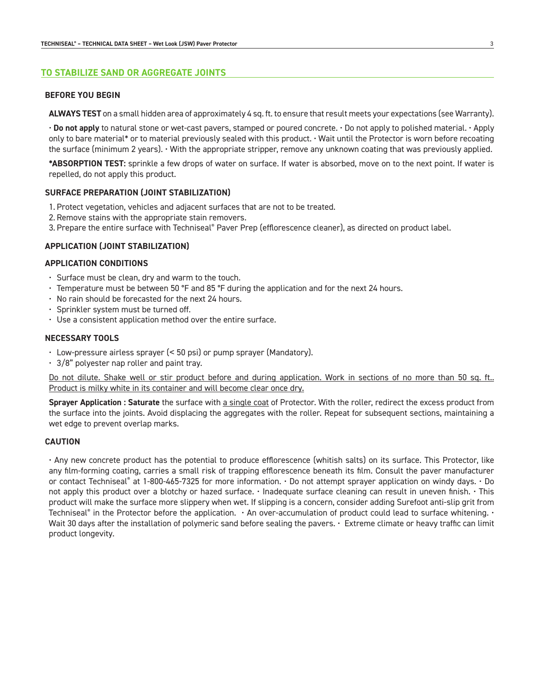# **TO STABILIZE SAND OR AGGREGATE JOINTS**

#### **BEFORE YOU BEGIN**

**ALWAYS TEST** on a small hidden area of approximately 4 sq. ft. to ensure that result meets your expectations (see Warranty).

• **Do not apply** to natural stone or wet-cast pavers, stamped or poured concrete. • Do not apply to polished material. • Apply only to bare material\* or to material previously sealed with this product. • Wait until the Protector is worn before recoating the surface (minimum 2 years). • With the appropriate stripper, remove any unknown coating that was previously applied.

**\*ABSORPTION TEST:** sprinkle a few drops of water on surface. If water is absorbed, move on to the next point. If water is repelled, do not apply this product.

### **SURFACE PREPARATION (JOINT STABILIZATION)**

- 1. Protect vegetation, vehicles and adjacent surfaces that are not to be treated.
- 2. Remove stains with the appropriate stain removers.
- 3. Prepare the entire surface with Techniseal® Paver Prep (efflorescence cleaner), as directed on product label.

### **APPLICATION (JOINT STABILIZATION)**

### **APPLICATION CONDITIONS**

- Surface must be clean, dry and warm to the touch.
- Temperature must be between 50 °F and 85 °F during the application and for the next 24 hours.
- No rain should be forecasted for the next 24 hours.
- Sprinkler system must be turned off.
- Use a consistent application method over the entire surface.

#### **NECESSARY TOOLS**

- Low-pressure airless sprayer (< 50 psi) or pump sprayer (Mandatory).
- $\cdot$  3/8" polyester nap roller and paint tray.

Do not dilute. Shake well or stir product before and during application. Work in sections of no more than 50 sq. ft.. Product is milky white in its container and will become clear once dry.

**Sprayer Application : Saturate** the surface with a single coat of Protector. With the roller, redirect the excess product from the surface into the joints. Avoid displacing the aggregates with the roller. Repeat for subsequent sections, maintaining a wet edge to prevent overlap marks.

## **CAUTION**

• Any new concrete product has the potential to produce efflorescence (whitish salts) on its surface. This Protector, like any film-forming coating, carries a small risk of trapping efflorescence beneath its film. Consult the paver manufacturer or contact Techniseal® at 1-800-465-7325 for more information. • Do not attempt sprayer application on windy days. • Do not apply this product over a blotchy or hazed surface. • Inadequate surface cleaning can result in uneven finish. • This product will make the surface more slippery when wet. If slipping is a concern, consider adding Surefoot anti-slip grit from Techniseal® in the Protector before the application.  $\cdot$  An over-accumulation of product could lead to surface whitening.  $\cdot$ Wait 30 days after the installation of polymeric sand before sealing the pavers. • Extreme climate or heavy traffic can limit product longevity.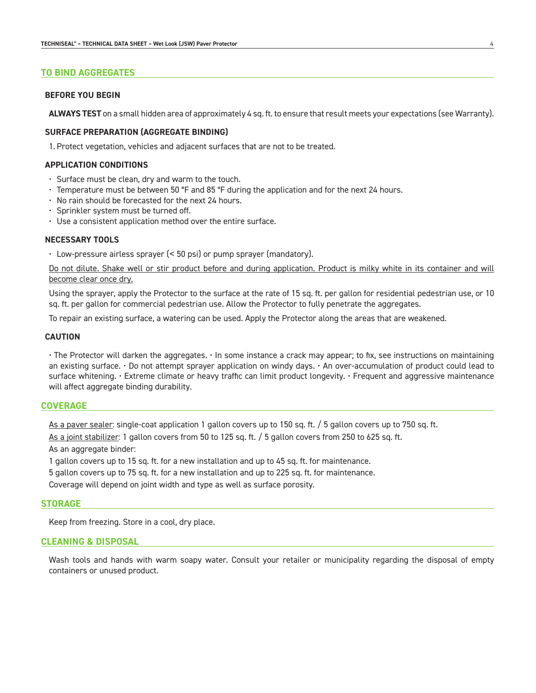#### **TO BIND AGGREGATES**

## **BEFORE YOU BEGIN**

**ALWAYS TEST** on a small hidden area of approximately 4 sq. ft. to ensure that result meets your expectations (see Warranty).

## **SURFACE PREPARATION (AGGREGATE BINDING)**

1. Protect vegetation, vehicles and adjacent surfaces that are not to be treated.

## **APPLICATION CONDITIONS**

- Surface must be clean, dry and warm to the touch.
- Temperature must be between 50 °F and 85 °F during the application and for the next 24 hours.
- No rain should be forecasted for the next 24 hours.
- Sprinkler system must be turned off.
- Use a consistent application method over the entire surface.

#### **NECESSARY TOOLS**

• Low-pressure airless sprayer (< 50 psi) or pump sprayer (mandatory).

Do not dilute. Shake well or stir product before and during application. Product is milky white in its container and will become clear once dry.

Using the sprayer, apply the Protector to the surface at the rate of 15 sq. ft. per gallon for residential pedestrian use, or 10 sq. ft. per gallon for commercial pedestrian use. Allow the Protector to fully penetrate the aggregates.

To repair an existing surface, a watering can be used. Apply the Protector along the areas that are weakened.

## **CAUTION**

• The Protector will darken the aggregates. • In some instance a crack may appear; to fix, see instructions on maintaining an existing surface.  $\cdot$  Do not attempt sprayer application on windy days.  $\cdot$  An over-accumulation of product could lead to surface whitening. • Extreme climate or heavy traffic can limit product longevity. • Frequent and aggressive maintenance will affect aggregate binding durability.

#### **COVERAGE**

As a paver sealer: single-coat application 1 gallon covers up to 150 sq. ft. / 5 gallon covers up to 750 sq. ft.

As a joint stabilizer: 1 gallon covers from 50 to 125 sq. ft. / 5 gallon covers from 250 to 625 sq. ft.

As an aggregate binder:

1 gallon covers up to 15 sq. ft. for a new installation and up to 45 sq. ft. for maintenance.

5 gallon covers up to 75 sq. ft. for a new installation and up to 225 sq. ft. for maintenance.

Coverage will depend on joint width and type as well as surface porosity.

#### **STORAGE**

Keep from freezing. Store in a cool, dry place.

#### **CLEANING & DISPOSAL**

Wash tools and hands with warm soapy water. Consult your retailer or municipality regarding the disposal of empty containers or unused product.